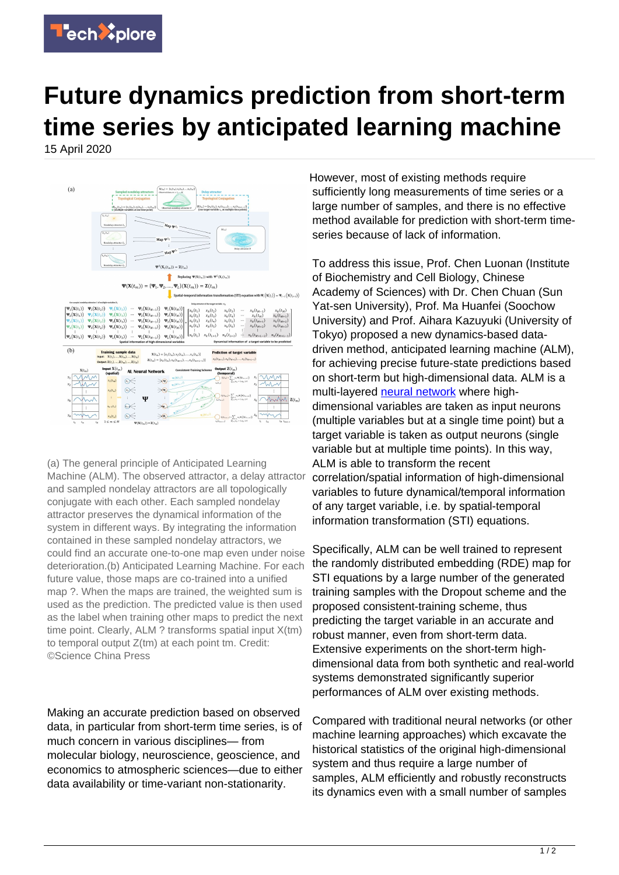

## **Future dynamics prediction from short-term time series by anticipated learning machine**

15 April 2020



(a) The general principle of Anticipated Learning Machine (ALM). The observed attractor, a delay attractor and sampled nondelay attractors are all topologically conjugate with each other. Each sampled nondelay attractor preserves the dynamical information of the system in different ways. By integrating the information contained in these sampled nondelay attractors, we could find an accurate one-to-one map even under noise deterioration.(b) Anticipated Learning Machine. For each future value, those maps are co-trained into a unified map ?. When the maps are trained, the weighted sum is used as the prediction. The predicted value is then used as the label when training other maps to predict the next time point. Clearly, ALM ? transforms spatial input X(tm) to temporal output Z(tm) at each point tm. Credit: ©Science China Press

Making an accurate prediction based on observed data, in particular from short-term time series, is of much concern in various disciplines— from molecular biology, neuroscience, geoscience, and economics to atmospheric sciences—due to either data availability or time-variant non-stationarity.

However, most of existing methods require sufficiently long measurements of time series or a large number of samples, and there is no effective method available for prediction with short-term timeseries because of lack of information.

To address this issue, Prof. Chen Luonan (Institute of Biochemistry and Cell Biology, Chinese Academy of Sciences) with Dr. Chen Chuan (Sun Yat-sen University), Prof. Ma Huanfei (Soochow University) and Prof. Aihara Kazuyuki (University of Tokyo) proposed a new dynamics-based datadriven method, anticipated learning machine (ALM), for achieving precise future-state predictions based on short-term but high-dimensional data. ALM is a multi-layered [neural network](https://techxplore.com/tags/neural+network/) where highdimensional variables are taken as input neurons (multiple variables but at a single time point) but a target variable is taken as output neurons (single variable but at multiple time points). In this way, ALM is able to transform the recent correlation/spatial information of high-dimensional variables to future dynamical/temporal information of any target variable, i.e. by spatial-temporal information transformation (STI) equations.

Specifically, ALM can be well trained to represent the randomly distributed embedding (RDE) map for STI equations by a large number of the generated training samples with the Dropout scheme and the proposed consistent-training scheme, thus predicting the target variable in an accurate and robust manner, even from short-term data. Extensive experiments on the short-term highdimensional data from both synthetic and real-world systems demonstrated significantly superior performances of ALM over existing methods.

Compared with traditional neural networks (or other machine learning approaches) which excavate the historical statistics of the original high-dimensional system and thus require a large number of samples, ALM efficiently and robustly reconstructs its dynamics even with a small number of samples